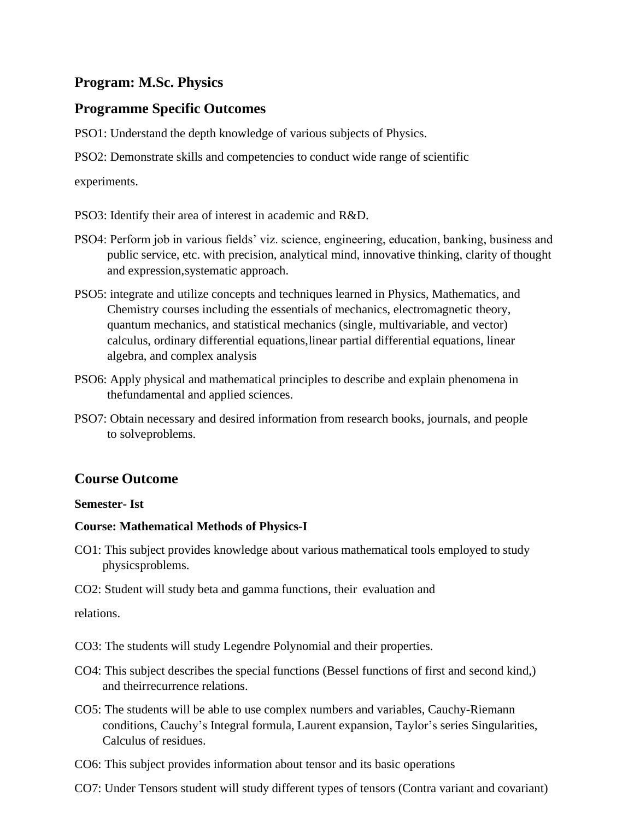# **Program: M.Sc. Physics**

# **Programme Specific Outcomes**

PSO1: Understand the depth knowledge of various subjects of Physics.

PSO2: Demonstrate skills and competencies to conduct wide range of scientific

experiments.

- PSO3: Identify their area of interest in academic and R&D.
- PSO4: Perform job in various fields' viz. science, engineering, education, banking, business and public service, etc. with precision, analytical mind, innovative thinking, clarity of thought and expression,systematic approach.
- PSO5: integrate and utilize concepts and techniques learned in Physics, Mathematics, and Chemistry courses including the essentials of mechanics, electromagnetic theory, quantum mechanics, and statistical mechanics (single, multivariable, and vector) calculus, ordinary differential equations,linear partial differential equations, linear algebra, and complex analysis
- PSO6: Apply physical and mathematical principles to describe and explain phenomena in thefundamental and applied sciences.
- PSO7: Obtain necessary and desired information from research books, journals, and people to solveproblems.

# **Course Outcome**

# **Semester- Ist**

# **Course: Mathematical Methods of Physics-I**

- CO1: This subject provides knowledge about various mathematical tools employed to study physicsproblems.
- CO2: Student will study beta and gamma functions, their evaluation and

relations.

CO3: The students will study Legendre Polynomial and their properties.

- CO4: This subject describes the special functions (Bessel functions of first and second kind,) and theirrecurrence relations.
- CO5: The students will be able to use complex numbers and variables, Cauchy-Riemann conditions, Cauchy's Integral formula, Laurent expansion, Taylor's series Singularities, Calculus of residues.
- CO6: This subject provides information about tensor and its basic operations
- CO7: Under Tensors student will study different types of tensors (Contra variant and covariant)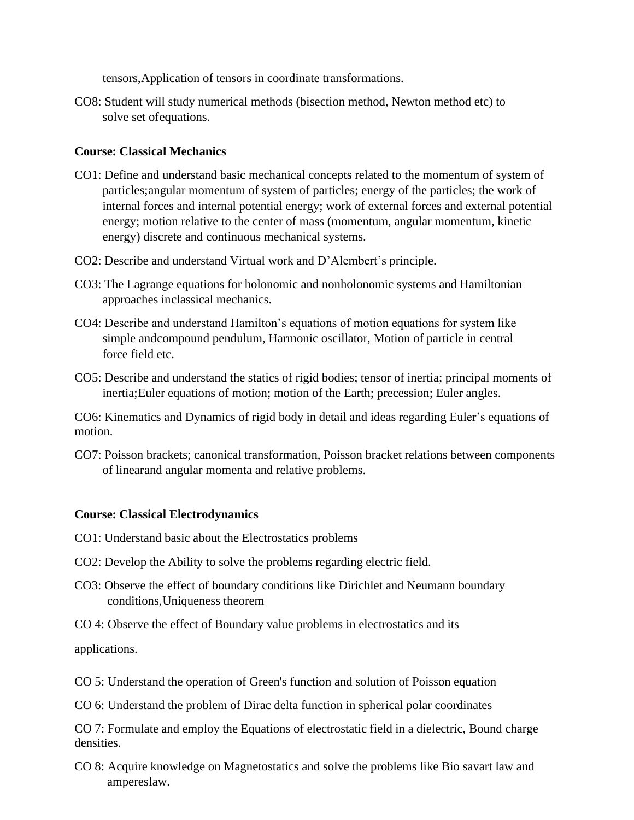tensors,Application of tensors in coordinate transformations.

CO8: Student will study numerical methods (bisection method, Newton method etc) to solve set ofequations.

# **Course: Classical Mechanics**

- CO1: Define and understand basic mechanical concepts related to the momentum of system of particles;angular momentum of system of particles; energy of the particles; the work of internal forces and internal potential energy; work of external forces and external potential energy; motion relative to the center of mass (momentum, angular momentum, kinetic energy) discrete and continuous mechanical systems.
- CO2: Describe and understand Virtual work and D'Alembert's principle.
- CO3: The Lagrange equations for holonomic and nonholonomic systems and Hamiltonian approaches inclassical mechanics.
- CO4: Describe and understand Hamilton's equations of motion equations for system like simple andcompound pendulum, Harmonic oscillator, Motion of particle in central force field etc.
- CO5: Describe and understand the statics of rigid bodies; tensor of inertia; principal moments of inertia;Euler equations of motion; motion of the Earth; precession; Euler angles.

CO6: Kinematics and Dynamics of rigid body in detail and ideas regarding Euler's equations of motion.

CO7: Poisson brackets; canonical transformation, Poisson bracket relations between components of linearand angular momenta and relative problems.

## **Course: Classical Electrodynamics**

- CO1: Understand basic about the Electrostatics problems
- CO2: Develop the Ability to solve the problems regarding electric field.
- CO3: Observe the effect of boundary conditions like Dirichlet and Neumann boundary conditions,Uniqueness theorem
- CO 4: Observe the effect of Boundary value problems in electrostatics and its

applications.

CO 5: Understand the operation of Green's function and solution of Poisson equation

CO 6: Understand the problem of Dirac delta function in spherical polar coordinates

CO 7: Formulate and employ the Equations of electrostatic field in a dielectric, Bound charge densities.

CO 8: Acquire knowledge on Magnetostatics and solve the problems like Bio savart law and ampereslaw.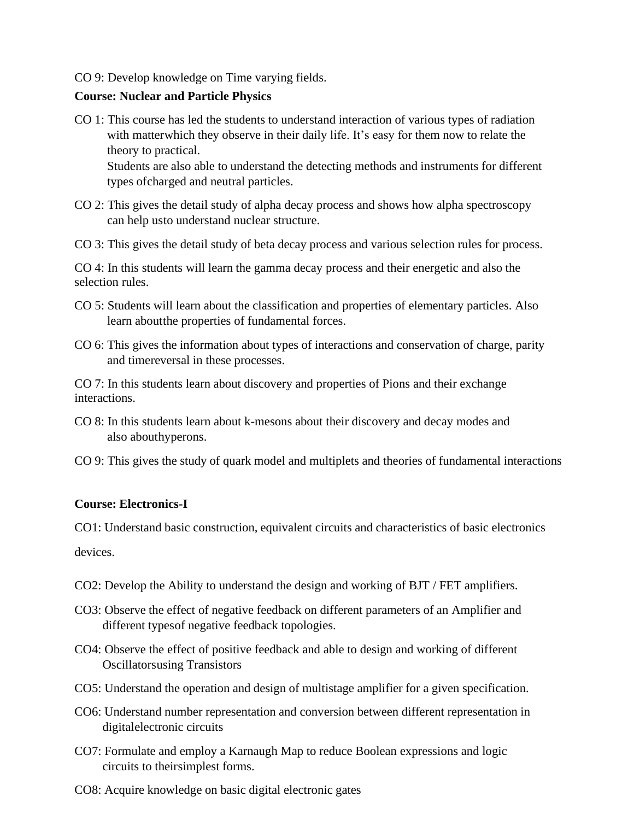## CO 9: Develop knowledge on Time varying fields.

# **Course: Nuclear and Particle Physics**

- CO 1: This course has led the students to understand interaction of various types of radiation with matterwhich they observe in their daily life. It's easy for them now to relate the theory to practical. Students are also able to understand the detecting methods and instruments for different types ofcharged and neutral particles.
- CO 2: This gives the detail study of alpha decay process and shows how alpha spectroscopy can help usto understand nuclear structure.
- CO 3: This gives the detail study of beta decay process and various selection rules for process.

CO 4: In this students will learn the gamma decay process and their energetic and also the selection rules.

- CO 5: Students will learn about the classification and properties of elementary particles. Also learn aboutthe properties of fundamental forces.
- CO 6: This gives the information about types of interactions and conservation of charge, parity and timereversal in these processes.

CO 7: In this students learn about discovery and properties of Pions and their exchange interactions.

- CO 8: In this students learn about k-mesons about their discovery and decay modes and also abouthyperons.
- CO 9: This gives the study of quark model and multiplets and theories of fundamental interactions

# **Course: Electronics-I**

CO1: Understand basic construction, equivalent circuits and characteristics of basic electronics

devices.

- CO2: Develop the Ability to understand the design and working of BJT / FET amplifiers.
- CO3: Observe the effect of negative feedback on different parameters of an Amplifier and different typesof negative feedback topologies.
- CO4: Observe the effect of positive feedback and able to design and working of different Oscillatorsusing Transistors
- CO5: Understand the operation and design of multistage amplifier for a given specification.
- CO6: Understand number representation and conversion between different representation in digitalelectronic circuits
- CO7: Formulate and employ a Karnaugh Map to reduce Boolean expressions and logic circuits to theirsimplest forms.
- CO8: Acquire knowledge on basic digital electronic gates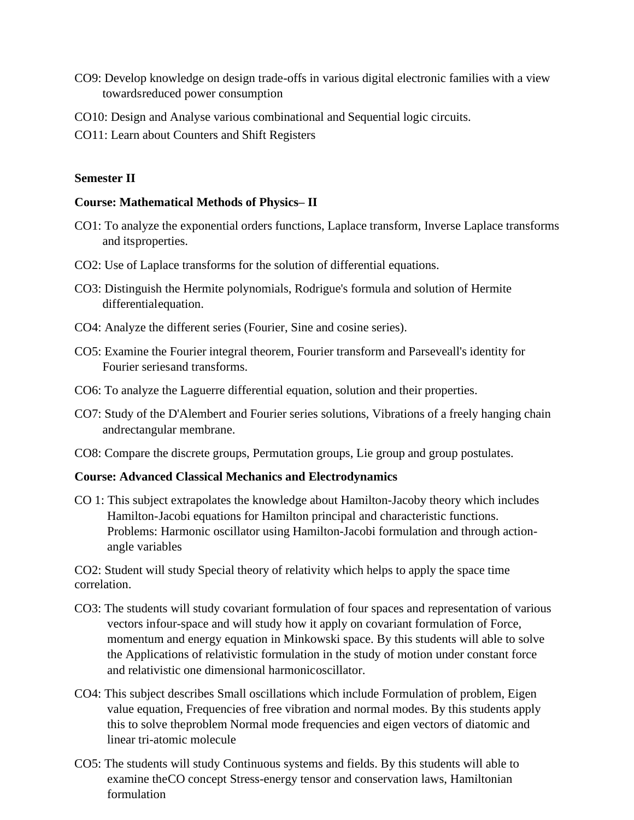- CO9: Develop knowledge on design trade-offs in various digital electronic families with a view towardsreduced power consumption
- CO10: Design and Analyse various combinational and Sequential logic circuits.
- CO11: Learn about Counters and Shift Registers

#### **Semester II**

#### **Course: Mathematical Methods of Physics– II**

- CO1: To analyze the exponential orders functions, Laplace transform, Inverse Laplace transforms and itsproperties.
- CO2: Use of Laplace transforms for the solution of differential equations.
- CO3: Distinguish the Hermite polynomials, Rodrigue's formula and solution of Hermite differentialequation.
- CO4: Analyze the different series (Fourier, Sine and cosine series).
- CO5: Examine the Fourier integral theorem, Fourier transform and Parseveall's identity for Fourier seriesand transforms.
- CO6: To analyze the Laguerre differential equation, solution and their properties.
- CO7: Study of the D'Alembert and Fourier series solutions, Vibrations of a freely hanging chain andrectangular membrane.
- CO8: Compare the discrete groups, Permutation groups, Lie group and group postulates.

#### **Course: Advanced Classical Mechanics and Electrodynamics**

CO 1: This subject extrapolates the knowledge about Hamilton-Jacoby theory which includes Hamilton-Jacobi equations for Hamilton principal and characteristic functions. Problems: Harmonic oscillator using Hamilton-Jacobi formulation and through actionangle variables

CO2: Student will study Special theory of relativity which helps to apply the space time correlation.

- CO3: The students will study covariant formulation of four spaces and representation of various vectors infour-space and will study how it apply on covariant formulation of Force, momentum and energy equation in Minkowski space. By this students will able to solve the Applications of relativistic formulation in the study of motion under constant force and relativistic one dimensional harmonicoscillator.
- CO4: This subject describes Small oscillations which include Formulation of problem, Eigen value equation, Frequencies of free vibration and normal modes. By this students apply this to solve theproblem Normal mode frequencies and eigen vectors of diatomic and linear tri-atomic molecule
- CO5: The students will study Continuous systems and fields. By this students will able to examine theCO concept Stress-energy tensor and conservation laws, Hamiltonian formulation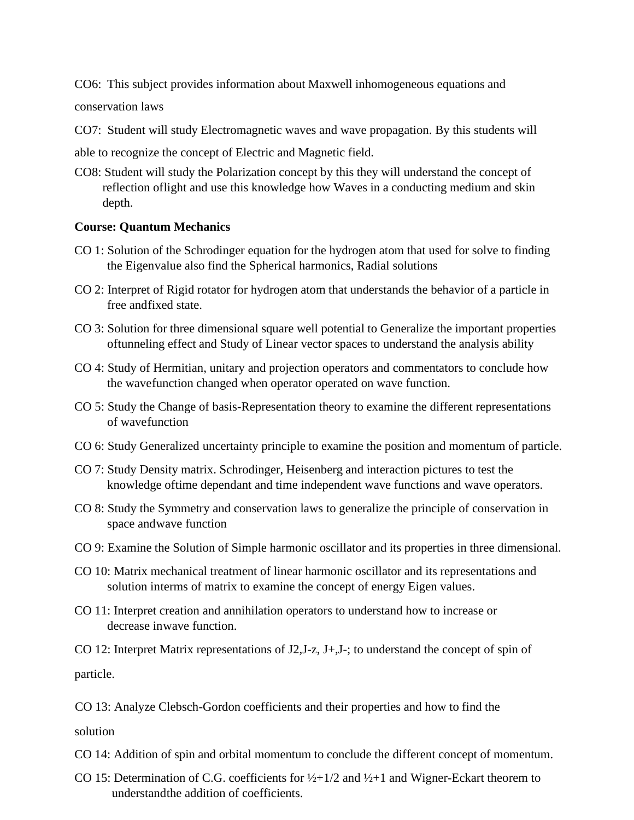CO6: This subject provides information about Maxwell inhomogeneous equations and

conservation laws

CO7: Student will study Electromagnetic waves and wave propagation. By this students will

able to recognize the concept of Electric and Magnetic field.

CO8: Student will study the Polarization concept by this they will understand the concept of reflection oflight and use this knowledge how Waves in a conducting medium and skin depth.

#### **Course: Quantum Mechanics**

- CO 1: Solution of the Schrodinger equation for the hydrogen atom that used for solve to finding the Eigenvalue also find the Spherical harmonics, Radial solutions
- CO 2: Interpret of Rigid rotator for hydrogen atom that understands the behavior of a particle in free andfixed state.
- CO 3: Solution for three dimensional square well potential to Generalize the important properties oftunneling effect and Study of Linear vector spaces to understand the analysis ability
- CO 4: Study of Hermitian, unitary and projection operators and commentators to conclude how the wavefunction changed when operator operated on wave function.
- CO 5: Study the Change of basis-Representation theory to examine the different representations of wavefunction
- CO 6: Study Generalized uncertainty principle to examine the position and momentum of particle.
- CO 7: Study Density matrix. Schrodinger, Heisenberg and interaction pictures to test the knowledge oftime dependant and time independent wave functions and wave operators.
- CO 8: Study the Symmetry and conservation laws to generalize the principle of conservation in space andwave function
- CO 9: Examine the Solution of Simple harmonic oscillator and its properties in three dimensional.
- CO 10: Matrix mechanical treatment of linear harmonic oscillator and its representations and solution interms of matrix to examine the concept of energy Eigen values.
- CO 11: Interpret creation and annihilation operators to understand how to increase or decrease inwave function.

CO 12: Interpret Matrix representations of J2,J-z, J+,J-; to understand the concept of spin of particle.

CO 13: Analyze Clebsch-Gordon coefficients and their properties and how to find the

solution

CO 14: Addition of spin and orbital momentum to conclude the different concept of momentum.

CO 15: Determination of C.G. coefficients for  $\frac{1}{2}$  + 1/2 and  $\frac{1}{2}$  + 1 and Wigner-Eckart theorem to understandthe addition of coefficients.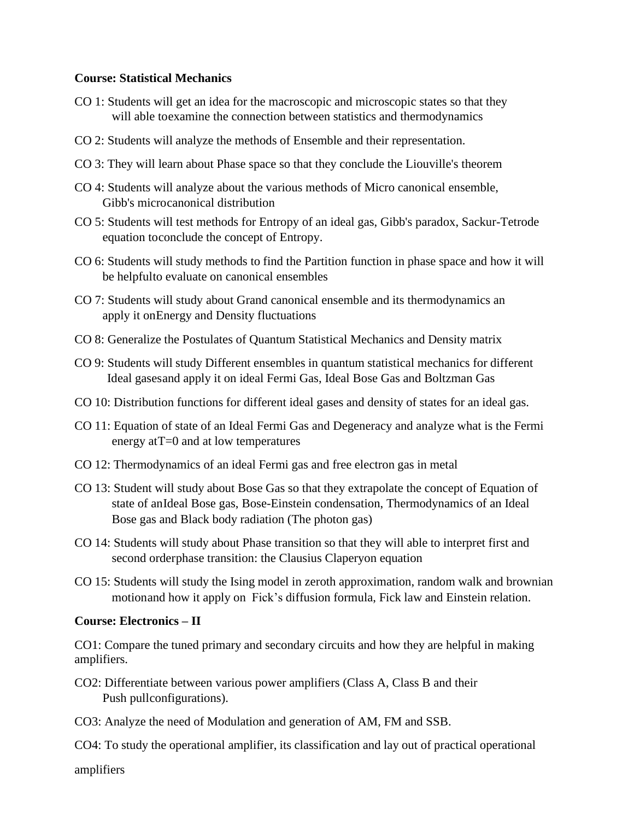## **Course: Statistical Mechanics**

- CO 1: Students will get an idea for the macroscopic and microscopic states so that they will able toexamine the connection between statistics and thermodynamics
- CO 2: Students will analyze the methods of Ensemble and their representation.
- CO 3: They will learn about Phase space so that they conclude the Liouville's theorem
- CO 4: Students will analyze about the various methods of Micro canonical ensemble, Gibb's microcanonical distribution
- CO 5: Students will test methods for Entropy of an ideal gas, Gibb's paradox, Sackur-Tetrode equation toconclude the concept of Entropy.
- CO 6: Students will study methods to find the Partition function in phase space and how it will be helpfulto evaluate on canonical ensembles
- CO 7: Students will study about Grand canonical ensemble and its thermodynamics an apply it onEnergy and Density fluctuations
- CO 8: Generalize the Postulates of Quantum Statistical Mechanics and Density matrix
- CO 9: Students will study Different ensembles in quantum statistical mechanics for different Ideal gasesand apply it on ideal Fermi Gas, Ideal Bose Gas and Boltzman Gas
- CO 10: Distribution functions for different ideal gases and density of states for an ideal gas.
- CO 11: Equation of state of an Ideal Fermi Gas and Degeneracy and analyze what is the Fermi energy at T=0 and at low temperatures
- CO 12: Thermodynamics of an ideal Fermi gas and free electron gas in metal
- CO 13: Student will study about Bose Gas so that they extrapolate the concept of Equation of state of anIdeal Bose gas, Bose-Einstein condensation, Thermodynamics of an Ideal Bose gas and Black body radiation (The photon gas)
- CO 14: Students will study about Phase transition so that they will able to interpret first and second orderphase transition: the Clausius Claperyon equation
- CO 15: Students will study the Ising model in zeroth approximation, random walk and brownian motionand how it apply on Fick's diffusion formula, Fick law and Einstein relation.

#### **Course: Electronics – II**

CO1: Compare the tuned primary and secondary circuits and how they are helpful in making amplifiers.

- CO2: Differentiate between various power amplifiers (Class A, Class B and their Push pullconfigurations).
- CO3: Analyze the need of Modulation and generation of AM, FM and SSB.

CO4: To study the operational amplifier, its classification and lay out of practical operational

amplifiers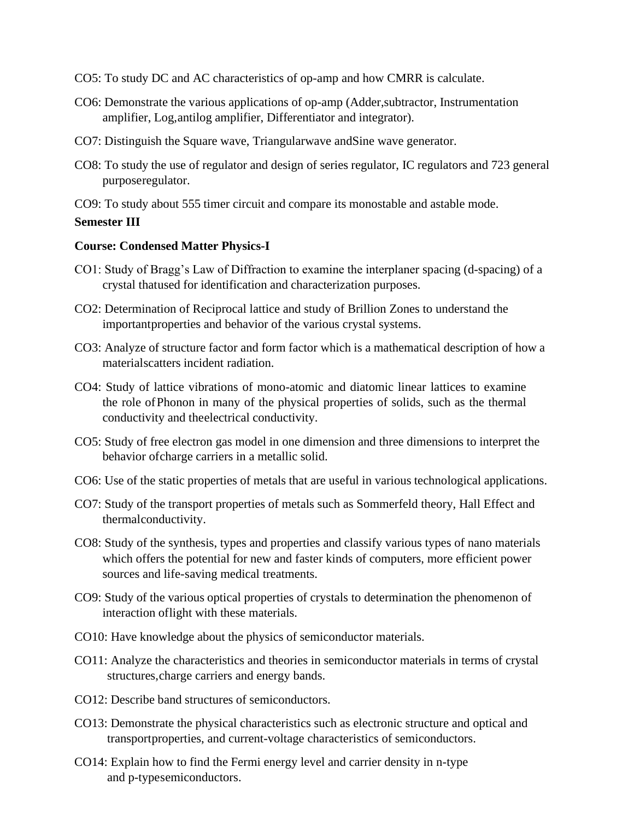- CO5: To study DC and AC characteristics of op-amp and how CMRR is calculate.
- CO6: Demonstrate the various applications of op-amp (Adder,subtractor, Instrumentation amplifier, Log,antilog amplifier, Differentiator and integrator).
- CO7: Distinguish the Square wave, Triangularwave andSine wave generator.
- CO8: To study the use of regulator and design of series regulator, IC regulators and 723 general purposeregulator.

CO9: To study about 555 timer circuit and compare its monostable and astable mode.

### **Semester III**

### **Course: Condensed Matter Physics-I**

- CO1: Study of Bragg's Law of Diffraction to examine the interplaner spacing (d-spacing) of a crystal thatused for identification and characterization purposes.
- CO2: Determination of Reciprocal lattice and study of Brillion Zones to understand the importantproperties and behavior of the various crystal systems.
- CO3: Analyze of structure factor and form factor which is a mathematical description of how a materialscatters incident radiation.
- CO4: Study of lattice vibrations of mono-atomic and diatomic linear lattices to examine the role ofPhonon in many of the physical properties of solids, such as the thermal conductivity and theelectrical conductivity.
- CO5: Study of free electron gas model in one dimension and three dimensions to interpret the behavior ofcharge carriers in a metallic solid.
- CO6: Use of the static properties of metals that are useful in various technological applications.
- CO7: Study of the transport properties of metals such as Sommerfeld theory, Hall Effect and thermalconductivity.
- CO8: Study of the synthesis, types and properties and classify various types of nano materials which offers the potential for new and faster kinds of computers, more efficient power sources and life-saving medical treatments.
- CO9: Study of the various optical properties of crystals to determination the phenomenon of interaction oflight with these materials.
- CO10: Have knowledge about the physics of semiconductor materials.
- CO11: Analyze the characteristics and theories in semiconductor materials in terms of crystal structures,charge carriers and energy bands.
- CO12: Describe band structures of semiconductors.
- CO13: Demonstrate the physical characteristics such as electronic structure and optical and transportproperties, and current-voltage characteristics of semiconductors.
- CO14: Explain how to find the Fermi energy level and carrier density in n-type and p-typesemiconductors.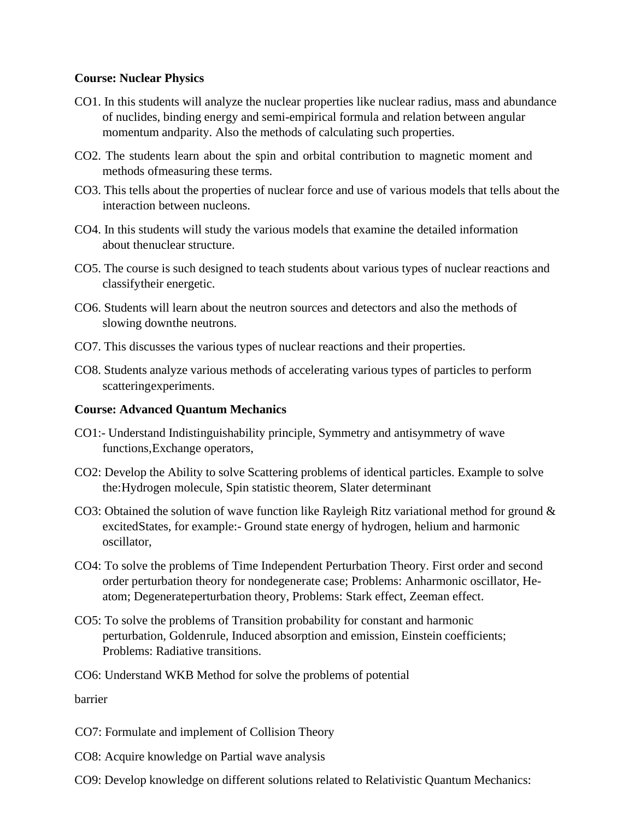# **Course: Nuclear Physics**

- CO1. In this students will analyze the nuclear properties like nuclear radius, mass and abundance of nuclides, binding energy and semi-empirical formula and relation between angular momentum andparity. Also the methods of calculating such properties.
- CO2. The students learn about the spin and orbital contribution to magnetic moment and methods ofmeasuring these terms.
- CO3. This tells about the properties of nuclear force and use of various models that tells about the interaction between nucleons.
- CO4. In this students will study the various models that examine the detailed information about thenuclear structure.
- CO5. The course is such designed to teach students about various types of nuclear reactions and classifytheir energetic.
- CO6. Students will learn about the neutron sources and detectors and also the methods of slowing downthe neutrons.
- CO7. This discusses the various types of nuclear reactions and their properties.
- CO8. Students analyze various methods of accelerating various types of particles to perform scatteringexperiments.

# **Course: Advanced Quantum Mechanics**

- CO1:- Understand Indistinguishability principle, Symmetry and antisymmetry of wave functions,Exchange operators,
- CO2: Develop the Ability to solve Scattering problems of identical particles. Example to solve the:Hydrogen molecule, Spin statistic theorem, Slater determinant
- CO3: Obtained the solution of wave function like Rayleigh Ritz variational method for ground & excitedStates, for example:- Ground state energy of hydrogen, helium and harmonic oscillator,
- CO4: To solve the problems of Time Independent Perturbation Theory. First order and second order perturbation theory for nondegenerate case; Problems: Anharmonic oscillator, Heatom; Degenerateperturbation theory, Problems: Stark effect, Zeeman effect.
- CO5: To solve the problems of Transition probability for constant and harmonic perturbation, Goldenrule, Induced absorption and emission, Einstein coefficients; Problems: Radiative transitions.
- CO6: Understand WKB Method for solve the problems of potential

barrier

- CO7: Formulate and implement of Collision Theory
- CO8: Acquire knowledge on Partial wave analysis
- CO9: Develop knowledge on different solutions related to Relativistic Quantum Mechanics: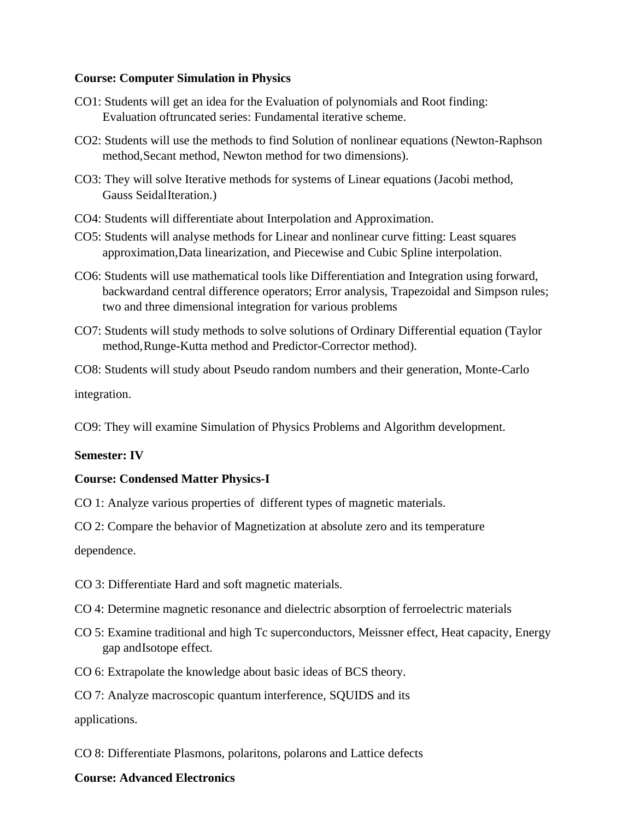### **Course: Computer Simulation in Physics**

- CO1: Students will get an idea for the Evaluation of polynomials and Root finding: Evaluation oftruncated series: Fundamental iterative scheme.
- CO2: Students will use the methods to find Solution of nonlinear equations (Newton-Raphson method,Secant method, Newton method for two dimensions).
- CO3: They will solve Iterative methods for systems of Linear equations (Jacobi method, Gauss SeidalIteration.)
- CO4: Students will differentiate about Interpolation and Approximation.
- CO5: Students will analyse methods for Linear and nonlinear curve fitting: Least squares approximation,Data linearization, and Piecewise and Cubic Spline interpolation.
- CO6: Students will use mathematical tools like Differentiation and Integration using forward, backwardand central difference operators; Error analysis, Trapezoidal and Simpson rules; two and three dimensional integration for various problems
- CO7: Students will study methods to solve solutions of Ordinary Differential equation (Taylor method,Runge-Kutta method and Predictor-Corrector method).

CO8: Students will study about Pseudo random numbers and their generation, Monte-Carlo integration.

CO9: They will examine Simulation of Physics Problems and Algorithm development.

## **Semester: IV**

## **Course: Condensed Matter Physics-I**

CO 1: Analyze various properties of different types of magnetic materials.

CO 2: Compare the behavior of Magnetization at absolute zero and its temperature

dependence.

- CO 3: Differentiate Hard and soft magnetic materials.
- CO 4: Determine magnetic resonance and dielectric absorption of ferroelectric materials
- CO 5: Examine traditional and high Tc superconductors, Meissner effect, Heat capacity, Energy gap andIsotope effect.
- CO 6: Extrapolate the knowledge about basic ideas of BCS theory.
- CO 7: Analyze macroscopic quantum interference, SQUIDS and its

applications.

CO 8: Differentiate Plasmons, polaritons, polarons and Lattice defects

#### **Course: Advanced Electronics**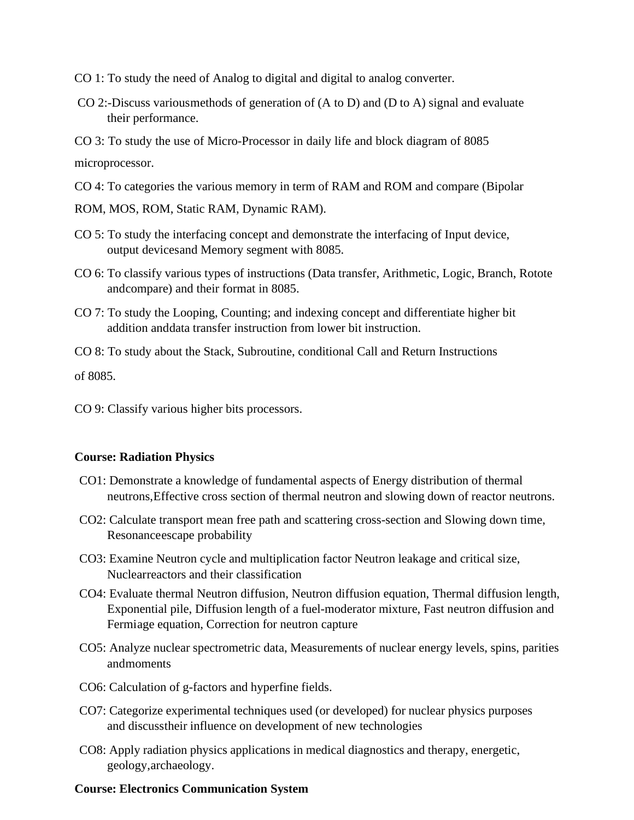- CO 1: To study the need of Analog to digital and digital to analog converter.
- CO 2:-Discuss variousmethods of generation of (A to D) and (D to A) signal and evaluate their performance.

CO 3: To study the use of Micro-Processor in daily life and block diagram of 8085 microprocessor.

- CO 4: To categories the various memory in term of RAM and ROM and compare (Bipolar
- ROM, MOS, ROM, Static RAM, Dynamic RAM).
- CO 5: To study the interfacing concept and demonstrate the interfacing of Input device, output devicesand Memory segment with 8085.
- CO 6: To classify various types of instructions (Data transfer, Arithmetic, Logic, Branch, Rotote andcompare) and their format in 8085.
- CO 7: To study the Looping, Counting; and indexing concept and differentiate higher bit addition anddata transfer instruction from lower bit instruction.
- CO 8: To study about the Stack, Subroutine, conditional Call and Return Instructions

of 8085.

CO 9: Classify various higher bits processors.

## **Course: Radiation Physics**

- CO1: Demonstrate a knowledge of fundamental aspects of Energy distribution of thermal neutrons,Effective cross section of thermal neutron and slowing down of reactor neutrons.
- CO2: Calculate transport mean free path and scattering cross-section and Slowing down time, Resonanceescape probability
- CO3: Examine Neutron cycle and multiplication factor Neutron leakage and critical size, Nuclearreactors and their classification
- CO4: Evaluate thermal Neutron diffusion, Neutron diffusion equation, Thermal diffusion length, Exponential pile, Diffusion length of a fuel-moderator mixture, Fast neutron diffusion and Fermiage equation, Correction for neutron capture
- CO5: Analyze nuclear spectrometric data, Measurements of nuclear energy levels, spins, parities andmoments
- CO6: Calculation of g-factors and hyperfine fields.
- CO7: Categorize experimental techniques used (or developed) for nuclear physics purposes and discusstheir influence on development of new technologies
- CO8: Apply radiation physics applications in medical diagnostics and therapy, energetic, geology,archaeology.

#### **Course: Electronics Communication System**